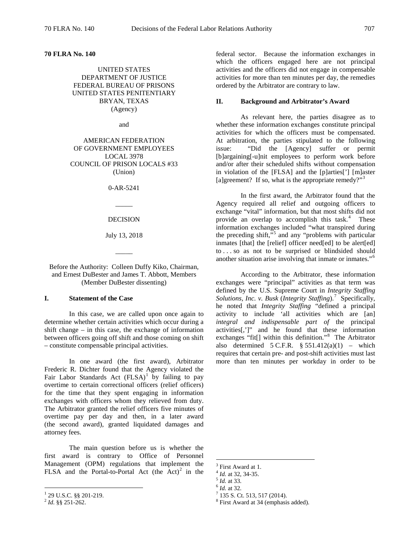**70 FLRA No. 140** 

UNITED STATES DEPARTMENT OF JUSTICE FEDERAL BUREAU OF PRISONS UNITED STATES PENITENTIARY BRYAN, TEXAS (Agency)

and

AMERICAN FEDERATION OF GOVERNMENT EMPLOYEES LOCAL 3978 COUNCIL OF PRISON LOCALS #33 (Union)

0-AR-5241

 $\overline{\phantom{a}}$ 

### DECISION

July 13, 2018

 $\overline{\phantom{a}}$ 

Before the Authority: Colleen Duffy Kiko, Chairman, and Ernest DuBester and James T. Abbott, Members (Member DuBester dissenting)

### **I. Statement of the Case**

In this case, we are called upon once again to determine whether certain activities which occur during a shift change – in this case, the exchange of information between officers going off shift and those coming on shift – constitute compensable principal activities.

In one award (the first award), Arbitrator Frederic R. Dichter found that the Agency violated the Fair Labor Standards Act  $(FLSA)^{1}$  $(FLSA)^{1}$  $(FLSA)^{1}$  by failing to pay overtime to certain correctional officers (relief officers) for the time that they spent engaging in information exchanges with officers whom they relieved from duty. The Arbitrator granted the relief officers five minutes of overtime pay per day and then, in a later award (the second award), granted liquidated damages and attorney fees.

<span id="page-0-2"></span>The main question before us is whether the first award is contrary to Office of Personnel Management (OPM) regulations that implement the FLSA and the Portal-to-Portal Act (the  $Act)^2$  $Act)^2$  in the

federal sector. Because the information exchanges in which the officers engaged here are not principal activities and the officers did not engage in compensable activities for more than ten minutes per day, the remedies ordered by the Arbitrator are contrary to law.

### **II. Background and Arbitrator's Award**

As relevant here, the parties disagree as to whether these information exchanges constitute principal activities for which the officers must be compensated. At arbitration, the parties stipulated to the following issue: "Did the [Agency] suffer or permit [b]argaining[-u]nit employees to perform work before and/or after their scheduled shifts without compensation in violation of the [FLSA] and the [p]arties['] [m]aster [a]greement? If so, what is the appropriate remedy?"<sup>[3](#page-0-2)</sup>

In the first award, the Arbitrator found that the Agency required all relief and outgoing officers to exchange "vital" information, but that most shifts did not provide an overlap to accomplish this task.<sup>[4](#page-0-3)</sup> These information exchanges included "what transpired during the preceding shift,"<sup>[5](#page-0-4)</sup> and any "problems with particular inmates [that] the [relief] officer need[ed] to be alert[ed] to . . . so as not to be surprised or blindsided should another situation arise involving that inmate or inmates."[6](#page-0-5)

According to the Arbitrator, these information exchanges were "principal" activities as that term was defined by the U.S. Supreme Court in *Integrity Staffing*  Solutions, Inc. v. Busk (Integrity Staffing).<sup>[7](#page-0-0)</sup> Specifically, he noted that *Integrity Staffing* "defined a principal activity to include 'all activities which are [an] *integral and indispensable part of* the principal activities[,']" and he found that these information exchanges "fit[] within this definition."<sup>[8](#page-0-1)</sup> The Arbitrator also determined  $5 \text{ C.F.R.}$   $§ 551.412(a)(1)$  – which requires that certain pre- and post-shift activities must last more than ten minutes per workday in order to be

<span id="page-0-5"></span><span id="page-0-4"></span><span id="page-0-3"></span><span id="page-0-0"></span><sup>1</sup> 29 U.S.C. §§ 201-219. <sup>2</sup> *Id.* §§ 251-262.

<span id="page-0-1"></span>

 $3 \text{ First Award at 1.}$ <br> $4 \text{ Id. at 32, 34-35.}$ 

<sup>&</sup>lt;sup>5</sup> *Id.* at 33.<br><sup>6</sup> *Id.* at 32. 7 135 S. Ct. 513, 517 (2014).

<sup>8</sup> First Award at 34 (emphasis added).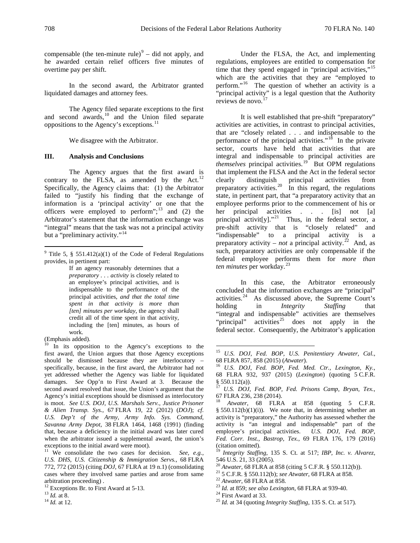compensable (the ten-minute rule) $9 9 -$  did not apply, and he awarded certain relief officers five minutes of overtime pay per shift.

In the second award, the Arbitrator granted liquidated damages and attorney fees.

The Agency filed separate exceptions to the first and second awards, $^{10}$  $^{10}$  $^{10}$  and the Union filed separate oppositions to the Agency's exceptions.<sup>[11](#page-1-2)</sup>

We disagree with the Arbitrator.

## **III. Analysis and Conclusions**

The Agency argues that the first award is contrary to the FLSA, as amended by the Act.<sup>[12](#page-1-3)</sup> Specifically, the Agency claims that: (1) the Arbitrator failed to "justify his finding that the exchange of information is a 'principal activity' or one that the officers were employed to perform"; $^{13}$  $^{13}$  $^{13}$  and (2) the Arbitrator's statement that the information exchange was "integral" means that the task was not a principal activity but a "preliminary activity."<sup>[14](#page-1-5)</sup>

If an agency reasonably determines that a *preparatory . . . activity* is closely related to an employee's principal activities, and is indispensable to the performance of the principal activities, *and that the total time spent in that activity is more than [ten] minutes per workday*, the agency shall credit all of the time spent in that activity, including the [ten] minutes, as hours of work.

Under the FLSA, the Act, and implementing regulations, employees are entitled to compensation for time that they spend engaged in "principal activities,"<sup>[15](#page-1-6)</sup> which are the activities that they are "employed to perform."[16](#page-1-7) The question of whether an activity is a "principal activity" is a legal question that the Authority reviews de novo.<sup>[17](#page-1-8)</sup>

It is well established that pre-shift "preparatory" activities are activities, in contrast to principal activities, that are "closely related . . . and indispensable to the performance of the principal activities."<sup>[18](#page-1-9)</sup> In the private sector, courts have held that activities that are integral and indispensable to principal activities are *themselves* principal activities.<sup>19</sup> But OPM regulations that implement the FLSA and the Act in the federal sector clearly distinguish principal activities from preparatory activities.<sup>[20](#page-1-10)</sup> In this regard, the regulations state, in pertinent part, that "a preparatory activity that an employee performs prior to the commencement of his or her principal activities . . . [is] not [a] principal activit[y]."<sup>21</sup> Thus, in the federal sector, a pre-shift activity that is "closely related" and "indispensable" to a principal activity is a preparatory activity – *not* a principal activity.<sup>22</sup> And, as such, preparatory activities are only compensable if the federal employee performs them for *more than ten minutes* per workday.<sup>[23](#page-1-3)</sup>

In this case, the Arbitrator erroneously concluded that the information exchanges are "principal" activities.[24](#page-1-4) As discussed above, the Supreme Court's holding in *Integrity Staffing* that "integral and indispensable" activities are themselves "principal" activities<sup>[25](#page-1-5)</sup> does not apply in the federal sector. Consequently, the Arbitrator's application

<span id="page-1-0"></span><sup>&</sup>lt;sup>9</sup> Title 5, § 551.412(a)(1) of the Code of Federal Regulations provides, in pertinent part:

<sup>(</sup>Emphasis added).

<span id="page-1-8"></span><span id="page-1-7"></span><span id="page-1-6"></span><span id="page-1-1"></span> $10$  In its opposition to the Agency's exceptions to the first award, the Union argues that those Agency exceptions should be dismissed because they are interlocutory – specifically, because, in the first award, the Arbitrator had not yet addressed whether the Agency was liable for liquidated damages. *See* Opp'n to First Award at 3.Because the second award resolved that issue, the Union's argument that the Agency's initial exceptions should be dismissed as interlocutory is moot. *See U.S. DOJ, U.S. Marshals Serv., Justice Prisoner & Alien Transp. Sys.*, 67 FLRA 19, 22 (2012) (*DOJ*); *cf*. *U.S. Dep't of the Army, Army Info. Sys. Command, Savanna Army Depot*, 38 FLRA 1464, 1468 (1991) (finding that, because a deficiency in the initial award was later cured when the arbitrator issued a supplemental award, the union's exceptions to the initial award were moot).

<span id="page-1-10"></span><span id="page-1-9"></span><span id="page-1-2"></span><sup>11</sup> We consolidate the two cases for decision. *See, e.g., U.S. DHS, U.S. Citizenship & Immigration Servs.*, 68 FLRA 772, 772 (2015) (citing *DOJ*, 67 FLRA at 19 n.1) (consolidating cases where they involved same parties and arose from same arbitration proceeding) .<br><sup>12</sup> Exceptions Br. to First Award at 5-13.<br><sup>13</sup> *Id.* at 8.<br><sup>14</sup> *Id.* at 12.

<span id="page-1-12"></span><span id="page-1-11"></span><span id="page-1-3"></span>

<span id="page-1-5"></span><span id="page-1-4"></span>

 <sup>15</sup> *U.S. DOJ, Fed. BOP, U.S. Penitentiary Atwater, Cal.*,

<sup>&</sup>lt;sup>16</sup> U.S. DOJ, Fed. BOP, Fed. Med. Ctr., Lexington, Ky., 68 FLRA 932, 937 (2015) (*Lexington*) (quoting 5 C.F.R.

U.S. DOJ, Fed. BOP, Fed. Prisons Camp, Bryan, Tex., 67 FLRA 236, 238 (2014).

<sup>18</sup> *Atwater*, 68 FLRA at 858 (quoting 5 C.F.R. §  $550.112(b)(1)(i)$ . We note that, in determining whether an activity is "preparatory," the Authority has assessed whether the activity is "an integral and indispensable" part of the employee's principal activities.*U.S. DOJ, Fed. BOP, Fed. Corr. Inst., Bastrop, Tex.*, 69 FLRA 176, 179 (2016) (citation omitted).

<sup>19</sup> *Integrity Staffing*, 135 S. Ct. at 517; *IBP, Inc. v. Alvarez*, 546 U.S. 21, 33 (2005).<br><sup>20</sup> Atwater, 68 FLRA at 858 (citing 5 C.F.R. § 550.112(b)).

<sup>&</sup>lt;sup>21</sup> 5 C.F.R. § 550.112(b); *see Atwater*, 68 FLRA at 858.<br><sup>22</sup> Atwater, 68 FLRA at 858.<br><sup>23</sup> Id. at 859; *see also Lexington*, 68 FLRA at 939-40.<br><sup>24</sup> First Award at 33.<br><sup>25</sup> Id. at 34 (quoting *Integrity Staffing*, 135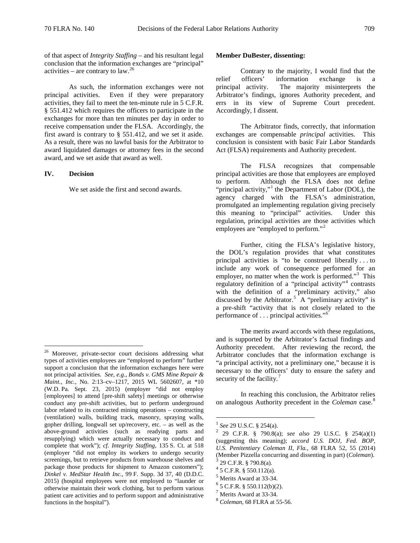of that aspect of *Integrity Staffing* – and his resultant legal conclusion that the information exchanges are "principal" activities – are contrary to  $law.<sup>26</sup>$ 

As such, the information exchanges were not principal activities. Even if they were preparatory activities, they fail to meet the ten-minute rule in 5 C.F.R. § 551.412 which requires the officers to participate in the exchanges for more than ten minutes per day in order to receive compensation under the FLSA. Accordingly, the first award is contrary to § 551.412, and we set it aside. As a result, there was no lawful basis for the Arbitrator to award liquidated damages or attorney fees in the second award, and we set aside that award as well.

# **IV. Decision**

We set aside the first and second awards.

### **Member DuBester, dissenting:**

Contrary to the majority, I would find that the relief officers' information exchange is principal activity. The majority misinterprets the Arbitrator's findings, ignores Authority precedent, and errs in its view of Supreme Court precedent. Accordingly, I dissent.

The Arbitrator finds, correctly, that information exchanges are compensable *principal* activities. This conclusion is consistent with basic Fair Labor Standards Act (FLSA) requirements and Authority precedent.

The FLSA recognizes that compensable principal activities are those that employees are employed to perform. Although the FLSA does not define "principal activity,"<sup>[1](#page-2-1)</sup> the Department of Labor (DOL), the agency charged with the FLSA's administration, promulgated an implementing regulation giving precisely this meaning to "principal" activities. Under this regulation, principal activities are those activities which employees are "employed to perform."[2](#page-2-2)

Further, citing the FLSA's legislative history, the DOL's regulation provides that what constitutes principal activities is "to be construed liberally . . . to include any work of consequence performed for an employer, no matter when the work is performed."<sup>[3](#page-2-3)</sup> This regulatory definition of a "principal activity"[4](#page-2-4) contrasts with the definition of a "preliminary activity," also discussed by the Arbitrator.<sup>[5](#page-2-5)</sup> A "preliminary activity" is a pre-shift "activity that is not closely related to the performance of . . . principal activities."[6](#page-2-6)

The merits award accords with these regulations, and is supported by the Arbitrator's factual findings and Authority precedent. After reviewing the record, the Arbitrator concludes that the information exchange is "a principal activity, not a preliminary one," because it is necessary to the officers' duty to ensure the safety and security of the facility. $7$ 

In reaching this conclusion, the Arbitrator relies on analogous Authority precedent in the *Coleman* case.<sup>[8](#page-2-8)</sup>

<span id="page-2-8"></span><span id="page-2-7"></span><span id="page-2-6"></span><span id="page-2-5"></span><span id="page-2-4"></span><span id="page-2-3"></span><span id="page-2-2"></span><span id="page-2-1"></span><span id="page-2-0"></span><sup>&</sup>lt;sup>26</sup> Moreover, private-sector court decisions addressing what types of activities employees are "employed to perform" further support a conclusion that the information exchanges here were not principal activities. *See, e.g.*, *Bonds v. GMS Mine Repair & Maint., Inc.*, No. 2:13–cv–1217, 2015 WL 5602607, at \*10 (W.D. Pa. Sept. 23, 2015) (employer "did not employ [employees] to attend [pre-shift safety] meetings or otherwise conduct any pre-shift activities, but to perform underground labor related to its contracted mining operations – constructing (ventilation) walls, building track, masonry, spraying walls, gopher drilling, longwall set up/recovery, etc. – as well as the above-ground activities (such as readying parts and resupplying) which were actually necessary to conduct and complete that work"); *cf. Integrity Staffing*, 135 S. Ct. at 518 (employer "did not employ its workers to undergo security screenings, but to retrieve products from warehouse shelves and package those products for shipment to Amazon customers"); *Dinkel v. MedStar Health Inc.*, 99 F. Supp. 3d 37, 40 (D.D.C. 2015) (hospital employees were not employed to "launder or otherwise maintain their work clothing, but to perform various patient care activities and to perform support and administrative functions in the hospital").

<sup>1</sup> *See* 29 U.S.C. § 254(a). <sup>2</sup> 29 C.F.R. § 790.8(a); *see also* 29 U.S.C. § 254(a)(1) (suggesting this meaning); *accord U.S. DOJ, Fed. BOP, U.S. Penitentiary Coleman II*, *Fla.*, 68 FLRA 52, 55 (2014) (Member Pizzella concurring and dissenting in part) (*Coleman*). <sup>3</sup> 29 C.F.R. § 790.8(a).

 $4$  5 C.F.R. § 550.112(a).

<sup>&</sup>lt;sup>5</sup> Merits Award at 33-34.<br>
<sup>6</sup> 5 C.F.R. § 550.112(b)(2).<br>
<sup>7</sup> Merits Award at 33-34.<br>
<sup>8</sup> *Coleman*, 68 FLRA at 55-56.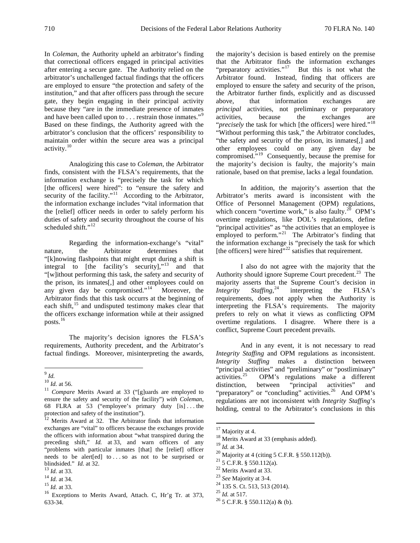In *Coleman*, the Authority upheld an arbitrator's finding that correctional officers engaged in principal activities after entering a secure gate. The Authority relied on the arbitrator's unchallenged factual findings that the officers are employed to ensure "the protection and safety of the institution," and that after officers pass through the secure gate, they begin engaging in their principal activity because they "are in the immediate presence of inmates and have been called upon to . . . restrain those inmates."<sup>[9](#page-3-0)</sup> Based on these findings, the Authority agreed with the arbitrator's conclusion that the officers' responsibility to maintain order within the secure area was a principal activity.[10](#page-3-1)

Analogizing this case to *Coleman*, the Arbitrator finds, consistent with the FLSA's requirements, that the information exchange is "precisely the task for which [the officers] were hired": to "ensure the safety and security of the facility."<sup>11</sup> According to the Arbitrator, the information exchange includes "vital information that the [relief] officer needs in order to safely perform his duties of safety and security throughout the course of his scheduled shift."<sup>12</sup>

Regarding the information-exchange's "vital" nature, the Arbitrator determines that "[k]nowing flashpoints that might erupt during a shift is integral to [the facility's security], $n^{13}$  $n^{13}$  $n^{13}$  and that "[w]ithout performing this task, the safety and security of the prison, its inmates[,] and other employees could on any given day be compromised." $14$  Moreover, the Arbitrator finds that this task occurrs at the beginning of each shift,<sup>[15](#page-3-6)</sup> and undisputed testimony makes clear that the officers exchange information while at their assigned posts.[16](#page-3-7)

The majority's decision ignores the FLSA's requirements, Authority precedent, and the Arbitrator's factual findings. Moreover, misinterpreting the awards,

the majority's decision is based entirely on the premise that the Arbitrator finds the information exchanges "preparatory activities."<sup>17</sup> But this is not what the But this is not what the Arbitrator found. Instead, finding that officers are employed to ensure the safety and security of the prison, the Arbitrator further finds, explicitly and as discussed above, that information exchanges are *principal* activities, not preliminary or preparatory activities, because the exchanges are "*precisely* the task for which [the officers] were hired."<sup>[18](#page-3-9)</sup> "Without performing this task," the Arbitrator concludes, "the safety and security of the prison, its inmates[,] and other employees could on any given day be compromised."<sup>[19](#page-3-10)</sup> Consequently, because the premise for the majority's decision is faulty, the majority's main rationale, based on that premise, lacks a legal foundation.

In addition, the majority's assertion that the Arbitrator's merits award is inconsistent with the Office of Personnel Management (OPM) regulations, which concern "overtime work," is also faulty. $^{20}$  $^{20}$  $^{20}$  OPM's overtime regulations, like DOL's regulations, define "principal activities" as "the activities that an employee is employed to perform."<sup>[21](#page-3-12)</sup> The Arbitrator's finding that the information exchange is "precisely the task for which [the officers] were hired"<sup>[22](#page-3-13)</sup> satisfies that requirement.

I also do not agree with the majority that the Authority should ignore Supreme Court precedent.<sup>[23](#page-3-14)</sup> The majority asserts that the Supreme Court's decision in<br>*Integrity Staffing*,<sup>24</sup> interpreting the FLSA's *Integrity* interpreting the FLSA's requirements, does not apply when the Authority is interpreting the FLSA's requirements. The majority prefers to rely on what it views as conflicting OPM overtime regulations. I disagree. Where there is a conflict, Supreme Court precedent prevails.

And in any event, it is not necessary to read *Integrity Staffing* and OPM regulations as inconsistent. *Integrity Staffing* makes a distinction between "principal activities" and "preliminary" or "postliminary" activities.<sup>25</sup> OPM's regulations make a different OPM's regulations make a different distinction, between "principal activities" and "preparatory" or "concluding" activities.<sup>[26](#page-3-17)</sup> And OPM's regulations are not inconsistent with *Integrity Staffing*'s holding, central to the Arbitrator's conclusions in this

<sup>20</sup> Majority at 4 (citing 5 C.F.R. § 550.112(b)).<br>
<sup>21</sup> 5 C.F.R. § 550.112(a).<br>
<sup>22</sup> Merits Award at 33.<br>
<sup>22</sup> 3 *See* Majority at 3-4.<br>
<sup>24</sup> 135 S. Ct. 513, 513 (2014).<br>
<sup>25</sup> *Id.* at 517.<br>
<sup>26</sup> 5 C.F.R. § 550.112(a) &

<span id="page-3-1"></span><span id="page-3-0"></span> $\int_{10}^{9}$ *Id.* at 56.

<span id="page-3-2"></span><sup>&</sup>lt;sup>11</sup> *Compare* Merits Award at 33 ("[g]uards are employed to ensure the safety and security of the facility") *with Coleman*, 68 FLRA at 53 ("employee's primary duty [is] . . . the protection and safety of the institution").

<span id="page-3-9"></span><span id="page-3-8"></span><span id="page-3-3"></span><sup>&</sup>lt;sup>12</sup> Merits Award at 32. The Arbitrator finds that information exchanges are "vital" to officers because the exchanges provide the officers with information about "what transpired during the preceding shift," *Id.* at 33, and warn officers of any "problems with particular inmates [that] the [relief] officer needs to be alert[ed] to . . . so as not to be surprised or

<span id="page-3-14"></span><span id="page-3-5"></span>

<span id="page-3-17"></span><span id="page-3-16"></span><span id="page-3-15"></span><span id="page-3-7"></span><span id="page-3-6"></span>

<span id="page-3-13"></span><span id="page-3-12"></span><span id="page-3-11"></span><span id="page-3-10"></span><span id="page-3-4"></span>blindsided." *Id.* at 32.<br><sup>13</sup> *Id.* at 33.<br><sup>14</sup> *Id.* at 34.<br><sup>15</sup> *Id.* at 33.<br><sup>16</sup> Exceptions to Merits Award, Attach. C, Hr'g Tr. at 373, 633-34.

<sup>&</sup>lt;sup>17</sup> Majority at 4.<br><sup>18</sup> Merits Award at 33 (emphasis added).<br><sup>19</sup> *Id.* at 34.